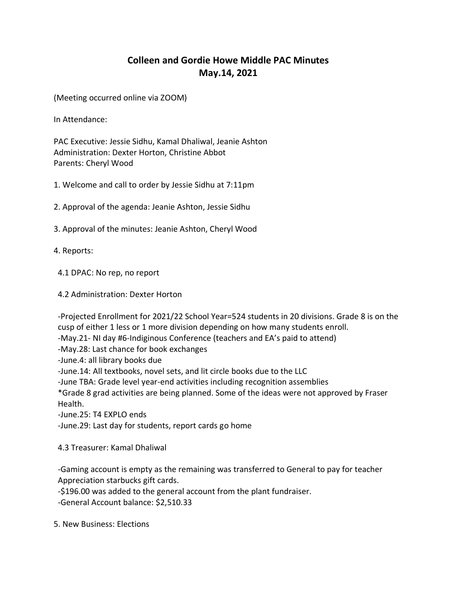## **Colleen and Gordie Howe Middle PAC Minutes May.14, 2021**

(Meeting occurred online via ZOOM)

In Attendance:

PAC Executive: Jessie Sidhu, Kamal Dhaliwal, Jeanie Ashton Administration: Dexter Horton, Christine Abbot Parents: Cheryl Wood

1. Welcome and call to order by Jessie Sidhu at 7:11pm

2. Approval of the agenda: Jeanie Ashton, Jessie Sidhu

3. Approval of the minutes: Jeanie Ashton, Cheryl Wood

4. Reports:

4.1 DPAC: No rep, no report

4.2 Administration: Dexter Horton

 -Projected Enrollment for 2021/22 School Year=524 students in 20 divisions. Grade 8 is on the cusp of either 1 less or 1 more division depending on how many students enroll.

-May.21- NI day #6-Indiginous Conference (teachers and EA's paid to attend)

-May.28: Last chance for book exchanges

-June.4: all library books due

-June.14: All textbooks, novel sets, and lit circle books due to the LLC

-June TBA: Grade level year-end activities including recognition assemblies

 \*Grade 8 grad activities are being planned. Some of the ideas were not approved by Fraser Health.

-June.25: T4 EXPLO ends

-June.29: Last day for students, report cards go home

4.3 Treasurer: Kamal Dhaliwal

 -Gaming account is empty as the remaining was transferred to General to pay for teacher Appreciation starbucks gift cards.

-\$196.00 was added to the general account from the plant fundraiser.

-General Account balance: \$2,510.33

5. New Business: Elections